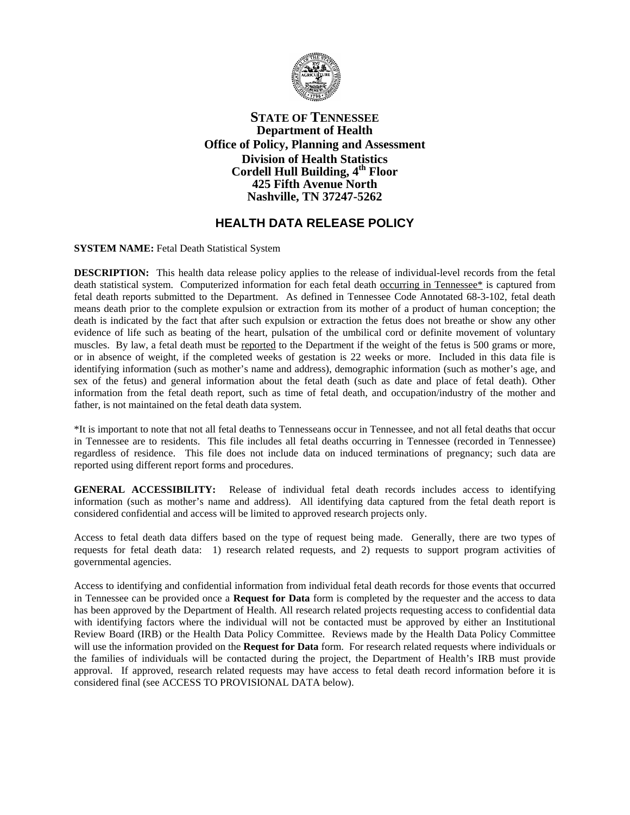

## **STATE OF TENNESSEE Department of Health Office of Policy, Planning and Assessment Division of Health Statistics Cordell Hull Building, 4th Floor 425 Fifth Avenue North Nashville, TN 37247-5262**

## **HEALTH DATA RELEASE POLICY**

**SYSTEM NAME:** Fetal Death Statistical System

**DESCRIPTION:** This health data release policy applies to the release of individual-level records from the fetal death statistical system. Computerized information for each fetal death occurring in Tennessee\* is captured from fetal death reports submitted to the Department. As defined in Tennessee Code Annotated 68-3-102, fetal death means death prior to the complete expulsion or extraction from its mother of a product of human conception; the death is indicated by the fact that after such expulsion or extraction the fetus does not breathe or show any other evidence of life such as beating of the heart, pulsation of the umbilical cord or definite movement of voluntary muscles. By law, a fetal death must be reported to the Department if the weight of the fetus is 500 grams or more, or in absence of weight, if the completed weeks of gestation is 22 weeks or more. Included in this data file is identifying information (such as mother's name and address), demographic information (such as mother's age, and sex of the fetus) and general information about the fetal death (such as date and place of fetal death). Other information from the fetal death report, such as time of fetal death, and occupation/industry of the mother and father, is not maintained on the fetal death data system.

\*It is important to note that not all fetal deaths to Tennesseans occur in Tennessee, and not all fetal deaths that occur in Tennessee are to residents. This file includes all fetal deaths occurring in Tennessee (recorded in Tennessee) regardless of residence. This file does not include data on induced terminations of pregnancy; such data are reported using different report forms and procedures.

**GENERAL ACCESSIBILITY:** Release of individual fetal death records includes access to identifying information (such as mother's name and address). All identifying data captured from the fetal death report is considered confidential and access will be limited to approved research projects only.

Access to fetal death data differs based on the type of request being made. Generally, there are two types of requests for fetal death data: 1) research related requests, and 2) requests to support program activities of governmental agencies.

Access to identifying and confidential information from individual fetal death records for those events that occurred in Tennessee can be provided once a **Request for Data** form is completed by the requester and the access to data has been approved by the Department of Health. All research related projects requesting access to confidential data with identifying factors where the individual will not be contacted must be approved by either an Institutional Review Board (IRB) or the Health Data Policy Committee. Reviews made by the Health Data Policy Committee will use the information provided on the **Request for Data** form. For research related requests where individuals or the families of individuals will be contacted during the project, the Department of Health's IRB must provide approval. If approved, research related requests may have access to fetal death record information before it is considered final (see ACCESS TO PROVISIONAL DATA below).